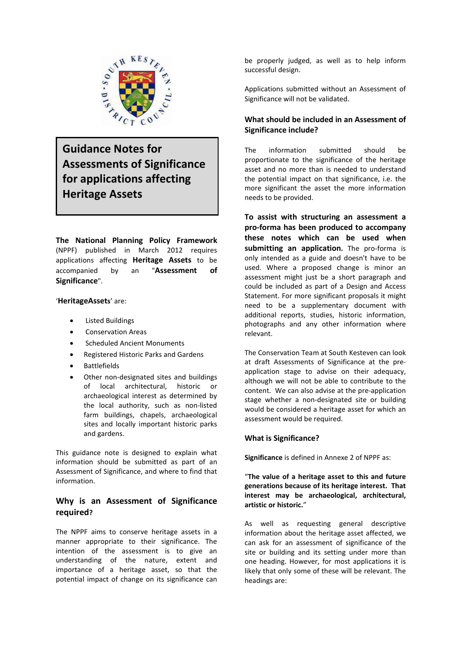

**Guidance Notes for Assessments of Significance for applications affecting Heritage Assets**

**The National Planning Policy Framework** (NPPF) published in March 2012 requires applications affecting **Heritage Assets** to be accompanied by an "**Assessment of Significance**".

'**HeritageAssets**' are:

- Listed Buildings
- Conservation Areas
- Scheduled Ancient Monuments
- Registered Historic Parks and Gardens
- Battlefields
- Other non‐designated sites and buildings of local architectural, historic or archaeological interest as determined by the local authority, such as non‐listed farm buildings, chapels, archaeological sites and locally important historic parks and gardens.

This guidance note is designed to explain what information should be submitted as part of an Assessment of Significance, and where to find that information.

# **Why is an Assessment of Significance required?**

The NPPF aims to conserve heritage assets in a manner appropriate to their significance. The intention of the assessment is to give an understanding of the nature, extent and importance of a heritage asset, so that the potential impact of change on its significance can be properly judged, as well as to help inform successful design.

Applications submitted without an Assessment of Significance will not be validated.

## **What should be included in an Assessment of Significance include?**

The information submitted should be proportionate to the significance of the heritage asset and no more than is needed to understand the potential impact on that significance, i.e. the more significant the asset the more information needs to be provided.

**To assist with structuring an assessment a pro‐forma has been produced to accompany these notes which can be used when submitting an application.** The pro‐forma is only intended as a guide and doesn't have to be used. Where a proposed change is minor an assessment might just be a short paragraph and could be included as part of a Design and Access Statement. For more significant proposals it might need to be a supplementary document with additional reports, studies, historic information, photographs and any other information where relevant.

The Conservation Team at South Kesteven can look at draft Assessments of Significance at the pre‐ application stage to advise on their adequacy, although we will not be able to contribute to the content. We can also advise at the pre‐application stage whether a non‐designated site or building would be considered a heritage asset for which an assessment would be required.

## **What is Significance?**

**Significance** is defined in Annexe 2 of NPPF as:

"**The value of a heritage asset to this and future generations because of its heritage interest. That interest may be archaeological, architectural, artistic or historic.**"

As well as requesting general descriptive information about the heritage asset affected, we can ask for an assessment of significance of the site or building and its setting under more than one heading. However, for most applications it is likely that only some of these will be relevant. The headings are: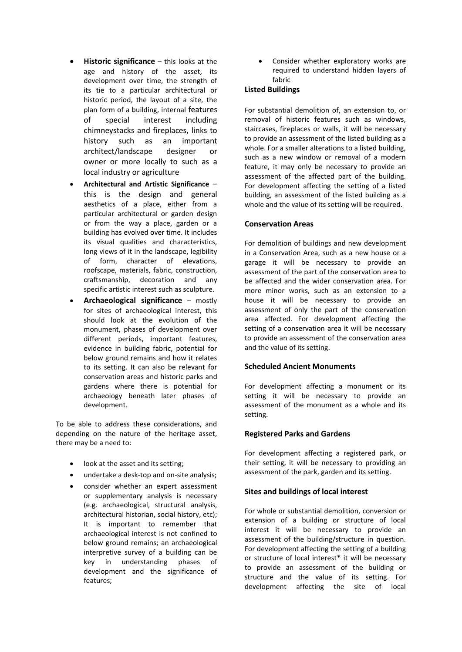- **Historic significance** this looks at the age and history of the asset, its development over time, the strength of its tie to a particular architectural or historic period, the layout of a site, the plan form of a building, internal features of special interest including chimneystacks and fireplaces, links to history such as an important architect/landscape designer or owner or more locally to such as a local industry or agriculture
- **Architectural and Artistic Significance** this is the design and general aesthetics of a place, either from a particular architectural or garden design or from the way a place, garden or a building has evolved over time. It includes its visual qualities and characteristics, long views of it in the landscape, legibility of form, character of elevations, roofscape, materials, fabric, construction, craftsmanship, decoration and any specific artistic interest such as sculpture.
- **Archaeological significance** mostly for sites of archaeological interest, this should look at the evolution of the monument, phases of development over different periods, important features, evidence in building fabric, potential for below ground remains and how it relates to its setting. It can also be relevant for conservation areas and historic parks and gardens where there is potential for archaeology beneath later phases of development.

To be able to address these considerations, and depending on the nature of the heritage asset, there may be a need to:

- look at the asset and its setting;
- undertake a desk-top and on-site analysis;
- consider whether an expert assessment or supplementary analysis is necessary (e.g. archaeological, structural analysis, architectural historian, social history, etc); It is important to remember that archaeological interest is not confined to below ground remains; an archaeological interpretive survey of a building can be key in understanding phases of development and the significance of features;

Consider whether exploratory works are required to understand hidden layers of fabric

## **Listed Buildings**

For substantial demolition of, an extension to, or removal of historic features such as windows, staircases, fireplaces or walls, it will be necessary to provide an assessment of the listed building as a whole. For a smaller alterations to a listed building, such as a new window or removal of a modern feature, it may only be necessary to provide an assessment of the affected part of the building. For development affecting the setting of a listed building, an assessment of the listed building as a whole and the value of its setting will be required.

#### **Conservation Areas**

For demolition of buildings and new development in a Conservation Area, such as a new house or a garage it will be necessary to provide an assessment of the part of the conservation area to be affected and the wider conservation area. For more minor works, such as an extension to a house it will be necessary to provide an assessment of only the part of the conservation area affected. For development affecting the setting of a conservation area it will be necessary to provide an assessment of the conservation area and the value of its setting.

### **Scheduled Ancient Monuments**

For development affecting a monument or its setting it will be necessary to provide an assessment of the monument as a whole and its setting.

### **Registered Parks and Gardens**

For development affecting a registered park, or their setting, it will be necessary to providing an assessment of the park, garden and its setting.

#### **Sites and buildings of local interest**

For whole or substantial demolition, conversion or extension of a building or structure of local interest it will be necessary to provide an assessment of the building/structure in question. For development affecting the setting of a building or structure of local interest\* it will be necessary to provide an assessment of the building or structure and the value of its setting. For development affecting the site of local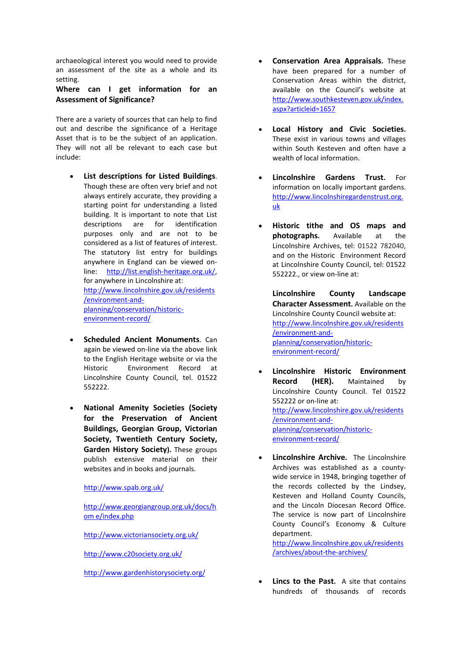archaeological interest you would need to provide an assessment of the site as a whole and its setting.

## **Where can I get information for an Assessment of Significance?**

There are a variety of sources that can help to find out and describe the significance of a Heritage Asset that is to be the subject of an application. They will not all be relevant to each case but include:

- **List descriptions for Listed Buildings**. Though these are often very brief and not always entirely accurate, they providing a starting point for understanding a listed building. It is important to note that List descriptions are for identification purposes only and are not to be considered as a list of features of interest. The statutory list entry for buildings anywhere in England can be viewed on‐ line: http://list.english‐heritage.org.uk/, for anywhere in Lincolnshire at: http://www.lincolnshire.gov.uk/residents /environment‐and‐ planning/conservation/historic‐ environment‐record/
- **Scheduled Ancient Monuments**. Can again be viewed on‐line via the above link to the English Heritage website or via the Historic Environment Record at Lincolnshire County Council, tel. 01522 552222.
- **National Amenity Societies (Society for the Preservation of Ancient Buildings, Georgian Group, Victorian Society, Twentieth Century Society, Garden History Society).** These groups publish extensive material on their websites and in books and journals.

### http://www.spab.org.uk/

http://www.georgiangroup.org.uk/docs/h om e/index.php

http://www.victoriansociety.org.uk/

http://www.c20society.org.uk/

http://www.gardenhistorysociety.org/

- **Conservation Area Appraisals.** These have been prepared for a number of Conservation Areas within the district, available on the Council's website at http://www.southkesteven.gov.uk/index. aspx?articleid=1657
- **Local History and Civic Societies.** These exist in various towns and villages within South Kesteven and often have a wealth of local information.
- **Lincolnshire Gardens Trust.** For information on locally important gardens. http://www.lincolnshiregardenstrust.org. uk
- **Historic tithe and OS maps and photographs.** Available at the Lincolnshire Archives, tel: 01522 782040, and on the Historic Environment Record at Lincolnshire County Council, tel: 01522 552222., or view on‐line at:

**Lincolnshire County Landscape Character Assessment.** Available on the Lincolnshire County Council website at: http://www.lincolnshire.gov.uk/residents /environment‐and‐ planning/conservation/historic‐ environment‐record/

- **Lincolnshire Historic Environment Record (HER).** Maintained by Lincolnshire County Council. Tel 01522 552222 or on‐line at: http://www.lincolnshire.gov.uk/residents /environment‐and‐ planning/conservation/historic‐ environment‐record/
- **Lincolnshire Archive.**  The Lincolnshire Archives was established as a county‐ wide service in 1948, bringing together of the records collected by the Lindsey, Kesteven and Holland County Councils, and the Lincoln Diocesan Record Office. The service is now part of Lincolnshire County Council's Economy & Culture department.

http://www.lincolnshire.gov.uk/residents /archives/about‐the‐archives/

• **Lincs to the Past.**  A site that contains hundreds of thousands of records